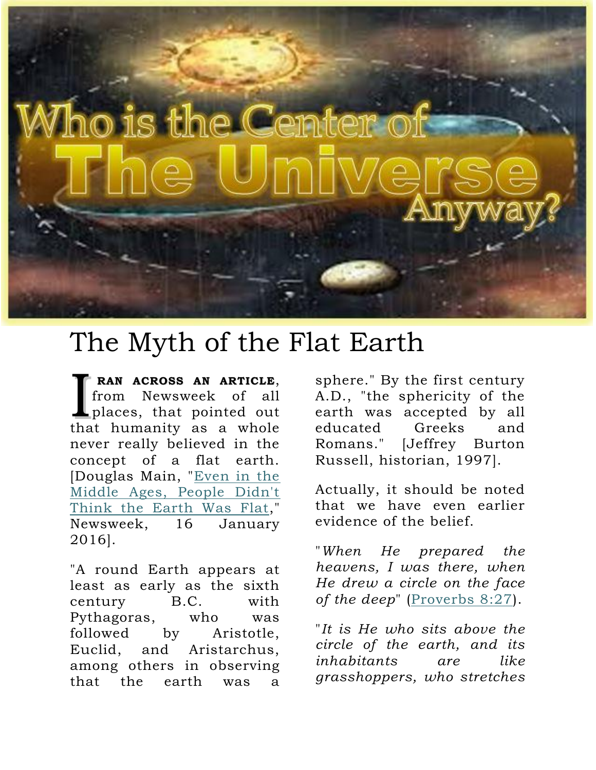

## The Myth of the Flat Earth

**RAN ACROSS AN ARTICLE**, from Newsweek of all places, that pointed out **RAN ACROSS AN ARTICLE,**<br>from Newsweek of all<br>places, that pointed out<br>that humanity as a whole never really believed in the concept of a flat earth. [Douglas Main, ["Even in the](http://www.newsweek.com/even-middle-ages-people-didnt-think-earth-was-flat-420775?source=acsh.org)  [Middle Ages, People Didn't](http://www.newsweek.com/even-middle-ages-people-didnt-think-earth-was-flat-420775?source=acsh.org)  [Think the Earth Was Flat,](http://www.newsweek.com/even-middle-ages-people-didnt-think-earth-was-flat-420775?source=acsh.org)" Newsweek, 16 January 2016].

"A round Earth appears at least as early as the sixth century B.C. with Pythagoras, who was followed by Aristotle, Euclid, and Aristarchus, among others in observing that the earth was a

sphere." By the first century A.D., "the sphericity of the earth was accepted by all educated Greeks and Romans." [Jeffrey Burton Russell, historian, 1997].

Actually, it should be noted that we have even earlier evidence of the belief.

"*When He prepared the heavens, I was there, when He drew a circle on the face*  of the deep" [\(Proverbs 8:27\)](http://biblia.com/bible/nkjv/Proverbs%208.27).

"*It is He who sits above the circle of the earth, and its inhabitants are like grasshoppers, who stretches*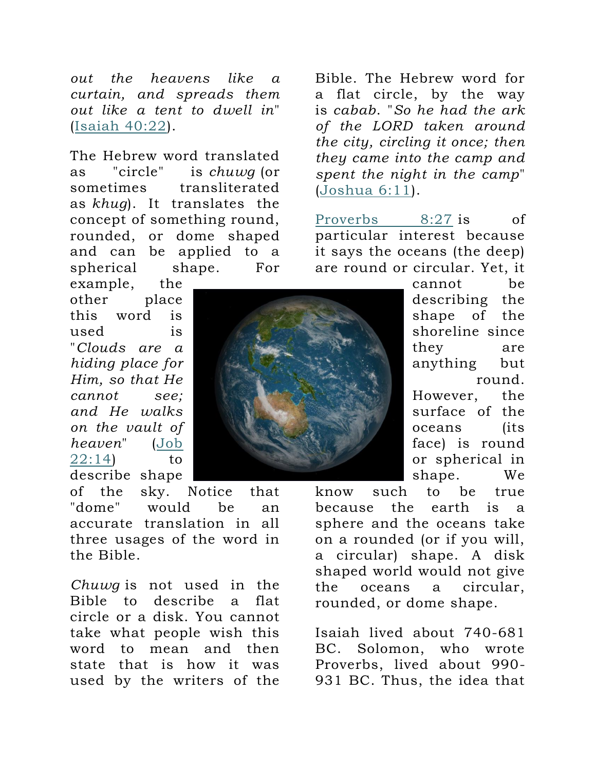*out the heavens like a curtain, and spreads them out like a tent to dwell in*" [\(Isaiah 40:22\)](http://biblia.com/bible/nkjv/Isaiah%2040.22).

The Hebrew word translated as "circle" is *chuwg* (or sometimes transliterated as *khug*). It translates the concept of something round, rounded, or dome shaped and can be applied to a spherical shape. For

example, the other place this word is used is "*Clouds are a hiding place for Him, so that He cannot see; and He walks on the vault of heaven*" [\(Job](http://biblia.com/bible/nkjv/Job%2022.14)  [22:14\)](http://biblia.com/bible/nkjv/Job%2022.14) to describe shape

of the sky. Notice that "dome" would be an accurate translation in all three usages of the word in the Bible.

*Chuwg* is not used in the Bible to describe a flat circle or a disk. You cannot take what people wish this word to mean and then state that is how it was used by the writers of the Bible. The Hebrew word for a flat circle, by the way is *cabab*. "*So he had the ark of the LORD taken around the city, circling it once; then they came into the camp and spent the night in the camp*" [\(Joshua 6:11\)](http://biblia.com/bible/nkjv/Joshua%206.11).

[Proverbs 8:27](http://biblia.com/bible/nkjv/Proverbs%208.27) is of particular interest because it says the oceans (the deep) are round or circular. Yet, it

> cannot be describing the shape of the shoreline since they are anything but round. However, the surface of the oceans (its face) is round or spherical in shape. We

know such to be true because the earth is a sphere and the oceans take on a rounded (or if you will, a circular) shape. A disk shaped world would not give the oceans a circular, rounded, or dome shape.

Isaiah lived about 740-681 BC. Solomon, who wrote Proverbs, lived about 990- 931 BC. Thus, the idea that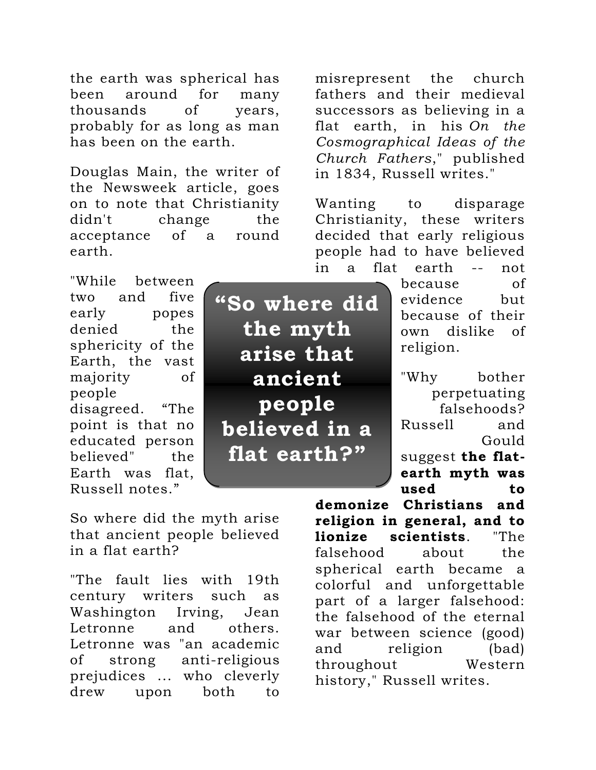the earth was spherical has been around for many thousands of years, probably for as long as man has been on the earth.

Douglas Main, the writer of the Newsweek article, goes on to note that Christianity didn't change the acceptance of a round earth.

"While between two and five early popes denied the sphericity of the Earth, the vast majority of people disagreed. "The point is that no educated person believed" the Earth was flat, Russell notes."

**"So where did the myth arise that ancient people believed in a flat earth?"**

misrepresent the church fathers and their medieval successors as believing in a flat earth, in his *On the Cosmographical Ideas of the Church Fathers*," published in 1834, Russell writes."

Wanting to disparage Christianity, these writers decided that early religious people had to have believed in a flat earth -- not

> because of evidence but because of their own dislike of religion.

"Why bother perpetuating falsehoods? Russell and Gould suggest **the flatearth myth was used to** 

So where did the myth arise that ancient people believed in a flat earth?

"The fault lies with 19th century writers such as Washington Irving, Jean Letronne and others. Letronne was "an academic of strong anti-religious prejudices ... who cleverly drew upon both to

**demonize Christians and religion in general, and to lionize scientists**. "The falsehood about the spherical earth became a colorful and unforgettable part of a larger falsehood: the falsehood of the eternal war between science (good) and religion (bad) throughout Western history," Russell writes.